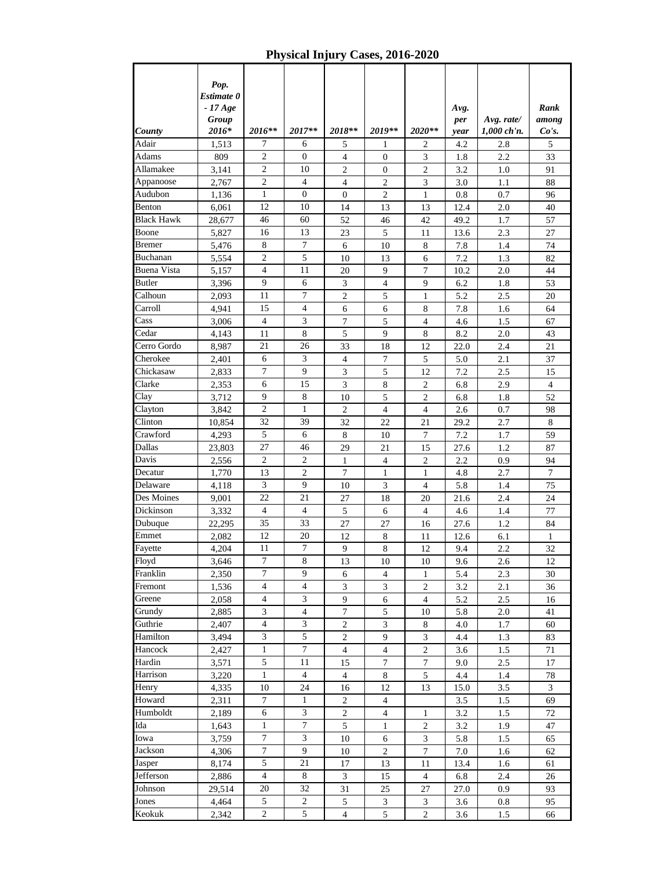*County Pop. Estimate 0 - 17 Age Group 2016\* 2016\*\* 2017\*\* 2018\*\* 2019\*\* 2020\*\* Avg. per year Avg. rate/ 1,000 ch'n. Rank among Co's.* Adair 1,513 7 6 5 1 2 4.2 2.8 5 Adams 809 2 0 4 0 3 1.8 2.2 33 Allamakee 3,141 2 10 2 0 2 3.2 1.0 91 Appanoose 2,767 2 4 4 2 3 3.0 1.1 88 Audubon 1,136 1 0 0 2 1 0.8 0.7 96 Benton 6,061 12 10 14 13 13 12.4 2.0 40 Black Hawk | 28,677 | 46 | 60 | 52 | 46 | 42 | 49.2 | 1.7 | 57 Boone 5,827 16 13 23 5 11 13.6 2.3 27 Bremer | 5,476 | 8 | 7 | 6 | 10 | 8 | 7.8 | 1.4 | 74 Buchanan | 5,554 | 2 | 5 | 10 | 13 | 6 | 7.2 | 1.3 | 82 Buena Vista 5,157 4 11 20 9 7 10.2 2.0 44 Butler | 3,396 | 9 | 6 | 3 | 4 | 9 | 6.2 | 1.8 | 53 Calhoun 2,093 11 7 2 5 1 5.2 2.5 20 Carroll 4,941 15 4 6 6 8 7.8 1.6 64 Cass | 3,006 | 4 | 3 | 7 | 5 | 4 | 4.6 | 1.5 | 67 Cedar | 4,143 | 11 | 8 | 5 | 9 | 8 | 8.2 | 2.0 | 43 Cerro Gordo | 8,987 | 21 | 26 | 33 | 18 | 12 | 22.0 | 2.4 | 21 Cherokee 2,401 6 3 4 7 5 5.0 2.1 37 Chickasaw 2,833 7 9 3 5 12 7.2 2.5 15 Clarke 2,353 6 15 3 8 2 6.8 2.9 4 Clay 3,712 9 8 10 5 2 6.8 1.8 52 Clayton | 3,842 | 2 | 1 | 2 | 4 | 4 | 2.6 | 0.7 | 98 Clinton | 10,854 | 32 | 39 | 32 | 22 | 21 | 29.2 | 2.7 | 8 Crawford | 4,293 | 5 | 6 | 8 | 10 | 7 | 7.2 | 1.7 | 59 Dallas 23,803 27 46 29 21 15 27.6 1.2 87 Davis 2,556 2 2 1 4 2 2.2 0.9 94 Decatur | 1,770 | 13 | 2 | 7 | 1 | 1 | 4.8 | 2.7 | 7 Delaware | 4,118 | 3 | 9 | 10 | 3 | 4 | 5.8 | 1.4 | 75 Des Moines 9,001 22 21 27 18 20 21.6 2.4 24 Dickinson | 3,332 | 4 | 4 | 5 | 6 | 4 | 4.6 | 1.4 | 77 Dubuque 22,295 35 33 27 27 16 27.6 1.2 84 Emmet 2,082 12 20 12 8 11 12.6 6.1 1 Fayette | 4,204 | 11 | 7 | 9 | 8 | 12 | 9.4 | 2.2 | 32 Floyd 3,646 7 8 13 10 10 9.6 2.6 12 Franklin 2,350 7 9 6 4 1 5.4 2.3 30 Fremont 1,536 4 4 3 3 3 2 3.2 2.1 36 Greene 2,058 4 3 9 6 4 5.2 2.5 16 Grundy 2,885 3 4 7 5 10 5.8 2.0 41 Guthrie 2,407 4 3 2 3 8 4.0 1.7 60 Hamilton | 3,494 | 3 | 5 | 2 | 9 | 3 | 4.4 | 1.3 | 83 Hancock 2,427 1 7 4 4 2 3.6 1.5 71 Hardin | 3,571 | 5 | 11 | 15 | 7 | 7 | 9.0 | 2.5 | 17 Harrison | 3,220 | 1 | 4 | 4 | 8 | 5 | 4.4 | 1.4 | 78 Henry 4,335 10 24 16 12 13 15.0 3.5 3 Howard 2,311 7 1 2 4 3.5 1.5 69 Humboldt 2,189 6 3 2 4 1 3.2 1.5 72 Ida 1,643 1 7 5 1 2 3.2 1.9 47 Iowa 3,759 7 3 10 6 3 5.8 1.5 65 Jackson | 4,306 | 7 | 9 | 10 | 2 | 7 | 7.0 | 1.6 | 62 Jasper | 8,174 | 5 | 21 | 17 | 13 | 11 | 13.4 | 1.6 | 61 Jefferson | 2,886 | 4 | 8 | 3 | 15 | 4 | 6.8 | 2.4 | 26 Johnson 29,514 20 32 31 25 27 27.0 0.9 93 Jones | 4,464 | 5 | 2 | 5 | 3 | 3 | 3.6 | 0.8 | 95

Keokuk 2,342 2 5 4 5 2 3.6 1.5 66

**Physical Injury Cases, 2016-2020**